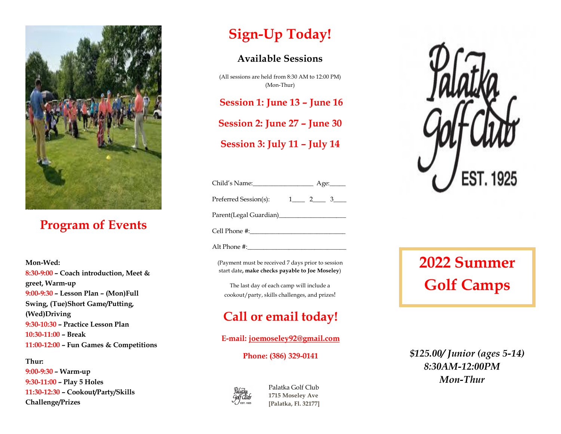

### **Program of Events**

**Mon-Wed: 8:30-9:00 – Coach introduction, Meet & greet, Warm-up 9:00-9:30 – Lesson Plan – (Mon)Full Swing, (Tue)Short Game/Putting, (Wed)Driving 9:30-10:30 – Practice Lesson Plan 10:30-11:00 – Break 11:00-12:00 – Fun Games & Competitions** 

**Thur: 9:00-9:30 – Warm-up 9:30-11:00 – Play 5 Holes 11:30-12:30 – Cookout/Party/Skills Challenge/Prizes** 

## **Sign-Up Today!**

#### **Available Sessions**

(All sessions are held from 8:30 AM to 12:00 PM) (Mon-Thur)

**Session 1: June 13 – June 16**

**Session 2: June 27 – June 30**

**Session 3: July 11 – July 14**

| Child's Name:_          | Age:     |  |  |  |
|-------------------------|----------|--|--|--|
| Preferred Session(s):   | $\sim$ 1 |  |  |  |
| Parent(Legal Guardian)_ |          |  |  |  |
|                         |          |  |  |  |

Cell Phone #:\_\_\_\_\_\_\_\_\_\_\_\_\_\_\_\_\_\_\_\_\_\_\_\_\_\_\_\_\_\_

Alt Phone #:

(Payment must be received 7 days prior to session start date**, make checks payable to Joe Moseley**)

The last day of each camp will include a cookout/party, skills challenges, and prizes!

### **Call or email today!**

**E-mail: [joemoseley92@gmail.com](mailto:joemoseley92@gmail.com)**

**Phone: (386) 329-0141**



Palatka Golf Club **1715 Moseley Ave [Palatka, Fl. 32177]**



# **2022 Summer Golf Camps**

### *\$125.00/ Junior (ages 5-14) 8:30AM-12:00PM Mon-Thur*